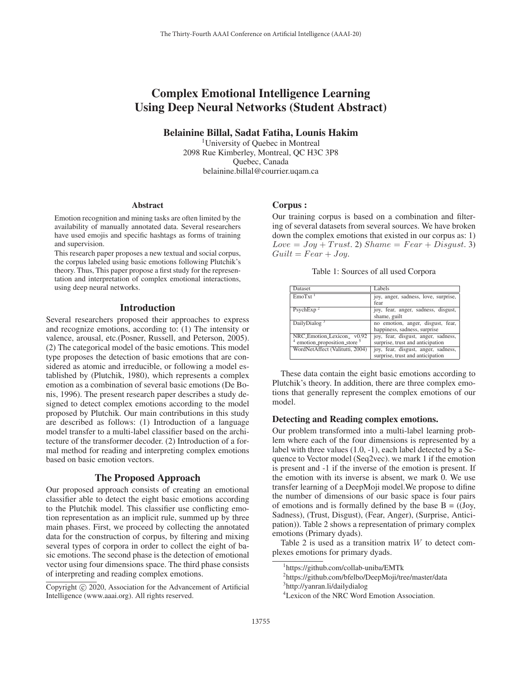# Complex Emotional Intelligence Learning Using Deep Neural Networks (Student Abstract)

Belainine Billal, Sadat Fatiha, Lounis Hakim

<sup>1</sup>University of Ouebec in Montreal 2098 Rue Kimberley, Montreal, QC H3C 3P8 Quebec, Canada belainine.billal@courrier.uqam.ca

#### Abstract

Emotion recognition and mining tasks are often limited by the availability of manually annotated data. Several researchers have used emojis and specific hashtags as forms of training and supervision.

This research paper proposes a new textual and social corpus, the corpus labeled using basic emotions following Plutchik's theory. Thus, This paper propose a first study for the representation and interpretation of complex emotional interactions, using deep neural networks.

## Introduction

Several researchers proposed their approaches to express and recognize emotions, according to: (1) The intensity or valence, arousal, etc.(Posner, Russell, and Peterson, 2005). (2) The categorical model of the basic emotions. This model type proposes the detection of basic emotions that are considered as atomic and irreducible, or following a model established by (Plutchik, 1980), which represents a complex emotion as a combination of several basic emotions (De Bonis, 1996). The present research paper describes a study designed to detect complex emotions according to the model proposed by Plutchik. Our main contributions in this study are described as follows: (1) Introduction of a language model transfer to a multi-label classifier based on the architecture of the transformer decoder. (2) Introduction of a formal method for reading and interpreting complex emotions based on basic emotion vectors.

# The Proposed Approach

Our proposed approach consists of creating an emotional classifier able to detect the eight basic emotions according to the Plutchik model. This classifier use conflicting emotion representation as an implicit rule, summed up by three main phases. First, we proceed by collecting the annotated data for the construction of corpus, by filtering and mixing several types of corpora in order to collect the eight of basic emotions. The second phase is the detection of emotional vector using four dimensions space. The third phase consists of interpreting and reading complex emotions.

## Corpus :

Our training corpus is based on a combination and filtering of several datasets from several sources. We have broken down the complex emotions that existed in our corpus as: 1)  $Love = Joy + Trust. 2)$   $Shame = Fear + Disqust. 3)$  $Guilt = Fear + Joy.$ 

| Dataset                                                        | Labels                                                                  |
|----------------------------------------------------------------|-------------------------------------------------------------------------|
| EmoTxt <sup>1</sup>                                            | joy, anger, sadness, love, surprise,<br>fear                            |
| PsychExp <sup>2</sup>                                          | joy, fear, anger, sadness, disgust,<br>shame, guilt                     |
| DailyDialog <sup>3</sup>                                       | no emotion, anger, disgust, fear,<br>happiness, sadness, surprise       |
| NRC_Emotion_Lexicon_v0.92<br>$4$ emotion_proposition_store $5$ | joy, fear, disgust, anger, sadness,<br>surprise, trust and anticipation |
| WordNetAffect (Valitutti, 2004)                                | joy, fear, disgust, anger, sadness,<br>surprise, trust and anticipation |

These data contain the eight basic emotions according to Plutchik's theory. In addition, there are three complex emotions that generally represent the complex emotions of our model.

## Detecting and Reading complex emotions.

Our problem transformed into a multi-label learning problem where each of the four dimensions is represented by a label with three values (1.0, -1), each label detected by a Sequence to Vector model (Seq2vec). we mark 1 if the emotion is present and -1 if the inverse of the emotion is present. If the emotion with its inverse is absent, we mark 0. We use transfer learning of a DeepMoji model.We propose to difine the number of dimensions of our basic space is four pairs of emotions and is formally defined by the base  $B = (Joy,$ Sadness), (Trust, Disgust), (Fear, Anger), (Surprise, Anticipation)). Table 2 shows a representation of primary complex emotions (Primary dyads).

Table 2 is used as a transition matrix  $W$  to detect complexes emotions for primary dyads.

Copyright  $\odot$  2020, Association for the Advancement of Artificial Intelligence (www.aaai.org). All rights reserved.

<sup>1</sup> https://github.com/collab-uniba/EMTk

<sup>2</sup> https://github.com/bfelbo/DeepMoji/tree/master/data 3 http://yanran.li/dailydialog

<sup>4</sup> Lexicon of the NRC Word Emotion Association.